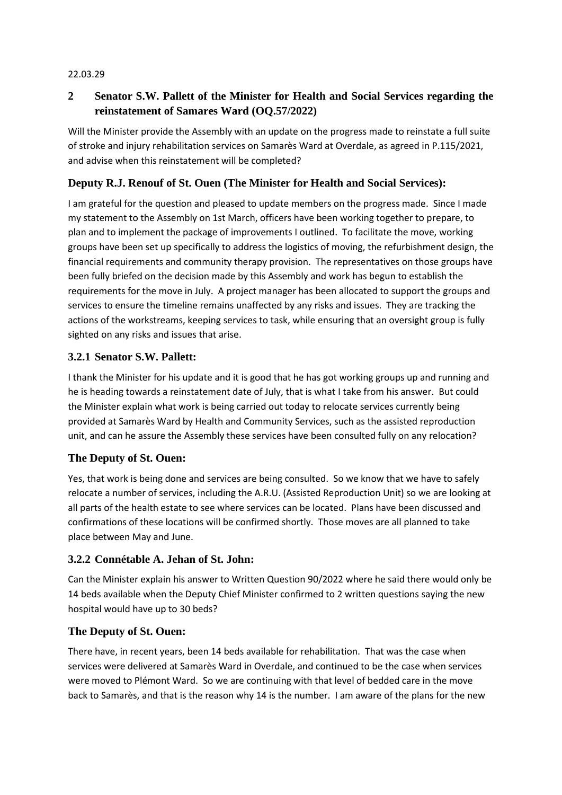#### 22.03.29

# **2 Senator S.W. Pallett of the Minister for Health and Social Services regarding the reinstatement of Samares Ward (OQ.57/2022)**

Will the Minister provide the Assembly with an update on the progress made to reinstate a full suite of stroke and injury rehabilitation services on Samarès Ward at Overdale, as agreed in P.115/2021, and advise when this reinstatement will be completed?

## **Deputy R.J. Renouf of St. Ouen (The Minister for Health and Social Services):**

I am grateful for the question and pleased to update members on the progress made. Since I made my statement to the Assembly on 1st March, officers have been working together to prepare, to plan and to implement the package of improvements I outlined. To facilitate the move, working groups have been set up specifically to address the logistics of moving, the refurbishment design, the financial requirements and community therapy provision. The representatives on those groups have been fully briefed on the decision made by this Assembly and work has begun to establish the requirements for the move in July. A project manager has been allocated to support the groups and services to ensure the timeline remains unaffected by any risks and issues. They are tracking the actions of the workstreams, keeping services to task, while ensuring that an oversight group is fully sighted on any risks and issues that arise.

## **3.2.1 Senator S.W. Pallett:**

I thank the Minister for his update and it is good that he has got working groups up and running and he is heading towards a reinstatement date of July, that is what I take from his answer. But could the Minister explain what work is being carried out today to relocate services currently being provided at Samarès Ward by Health and Community Services, such as the assisted reproduction unit, and can he assure the Assembly these services have been consulted fully on any relocation?

## **The Deputy of St. Ouen:**

Yes, that work is being done and services are being consulted. So we know that we have to safely relocate a number of services, including the A.R.U. (Assisted Reproduction Unit) so we are looking at all parts of the health estate to see where services can be located. Plans have been discussed and confirmations of these locations will be confirmed shortly. Those moves are all planned to take place between May and June.

## **3.2.2 Connétable A. Jehan of St. John:**

Can the Minister explain his answer to Written Question 90/2022 where he said there would only be 14 beds available when the Deputy Chief Minister confirmed to 2 written questions saying the new hospital would have up to 30 beds?

## **The Deputy of St. Ouen:**

There have, in recent years, been 14 beds available for rehabilitation. That was the case when services were delivered at Samarès Ward in Overdale, and continued to be the case when services were moved to Plémont Ward. So we are continuing with that level of bedded care in the move back to Samarès, and that is the reason why 14 is the number. I am aware of the plans for the new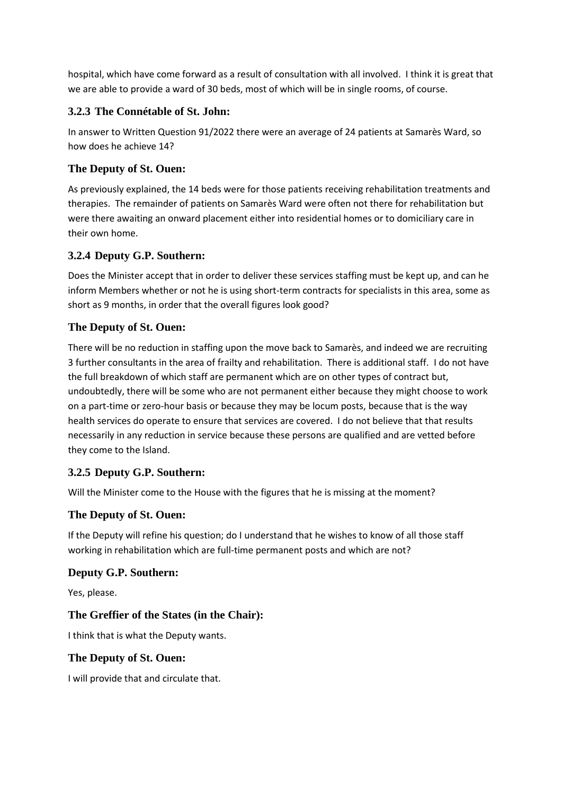hospital, which have come forward as a result of consultation with all involved. I think it is great that we are able to provide a ward of 30 beds, most of which will be in single rooms, of course.

### **3.2.3 The Connétable of St. John:**

In answer to Written Question 91/2022 there were an average of 24 patients at Samarès Ward, so how does he achieve 14?

## **The Deputy of St. Ouen:**

As previously explained, the 14 beds were for those patients receiving rehabilitation treatments and therapies. The remainder of patients on Samarès Ward were often not there for rehabilitation but were there awaiting an onward placement either into residential homes or to domiciliary care in their own home.

## **3.2.4 Deputy G.P. Southern:**

Does the Minister accept that in order to deliver these services staffing must be kept up, and can he inform Members whether or not he is using short-term contracts for specialists in this area, some as short as 9 months, in order that the overall figures look good?

### **The Deputy of St. Ouen:**

There will be no reduction in staffing upon the move back to Samarès, and indeed we are recruiting 3 further consultants in the area of frailty and rehabilitation. There is additional staff. I do not have the full breakdown of which staff are permanent which are on other types of contract but, undoubtedly, there will be some who are not permanent either because they might choose to work on a part-time or zero-hour basis or because they may be locum posts, because that is the way health services do operate to ensure that services are covered. I do not believe that that results necessarily in any reduction in service because these persons are qualified and are vetted before they come to the Island.

## **3.2.5 Deputy G.P. Southern:**

Will the Minister come to the House with the figures that he is missing at the moment?

#### **The Deputy of St. Ouen:**

If the Deputy will refine his question; do I understand that he wishes to know of all those staff working in rehabilitation which are full-time permanent posts and which are not?

#### **Deputy G.P. Southern:**

Yes, please.

## **The Greffier of the States (in the Chair):**

I think that is what the Deputy wants.

#### **The Deputy of St. Ouen:**

I will provide that and circulate that.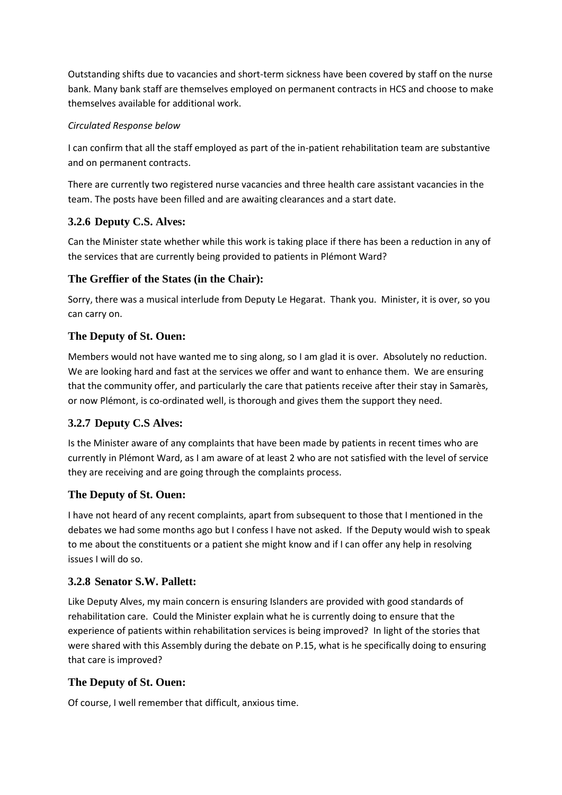Outstanding shifts due to vacancies and short-term sickness have been covered by staff on the nurse bank. Many bank staff are themselves employed on permanent contracts in HCS and choose to make themselves available for additional work.

### *Circulated Response below*

I can confirm that all the staff employed as part of the in-patient rehabilitation team are substantive and on permanent contracts.

There are currently two registered nurse vacancies and three health care assistant vacancies in the team. The posts have been filled and are awaiting clearances and a start date.

# **3.2.6 Deputy C.S. Alves:**

Can the Minister state whether while this work is taking place if there has been a reduction in any of the services that are currently being provided to patients in Plémont Ward?

## **The Greffier of the States (in the Chair):**

Sorry, there was a musical interlude from Deputy Le Hegarat. Thank you. Minister, it is over, so you can carry on.

## **The Deputy of St. Ouen:**

Members would not have wanted me to sing along, so I am glad it is over. Absolutely no reduction. We are looking hard and fast at the services we offer and want to enhance them. We are ensuring that the community offer, and particularly the care that patients receive after their stay in Samarès, or now Plémont, is co-ordinated well, is thorough and gives them the support they need.

## **3.2.7 Deputy C.S Alves:**

Is the Minister aware of any complaints that have been made by patients in recent times who are currently in Plémont Ward, as I am aware of at least 2 who are not satisfied with the level of service they are receiving and are going through the complaints process.

## **The Deputy of St. Ouen:**

I have not heard of any recent complaints, apart from subsequent to those that I mentioned in the debates we had some months ago but I confess I have not asked. If the Deputy would wish to speak to me about the constituents or a patient she might know and if I can offer any help in resolving issues I will do so.

## **3.2.8 Senator S.W. Pallett:**

Like Deputy Alves, my main concern is ensuring Islanders are provided with good standards of rehabilitation care. Could the Minister explain what he is currently doing to ensure that the experience of patients within rehabilitation services is being improved? In light of the stories that were shared with this Assembly during the debate on P.15, what is he specifically doing to ensuring that care is improved?

## **The Deputy of St. Ouen:**

Of course, I well remember that difficult, anxious time.